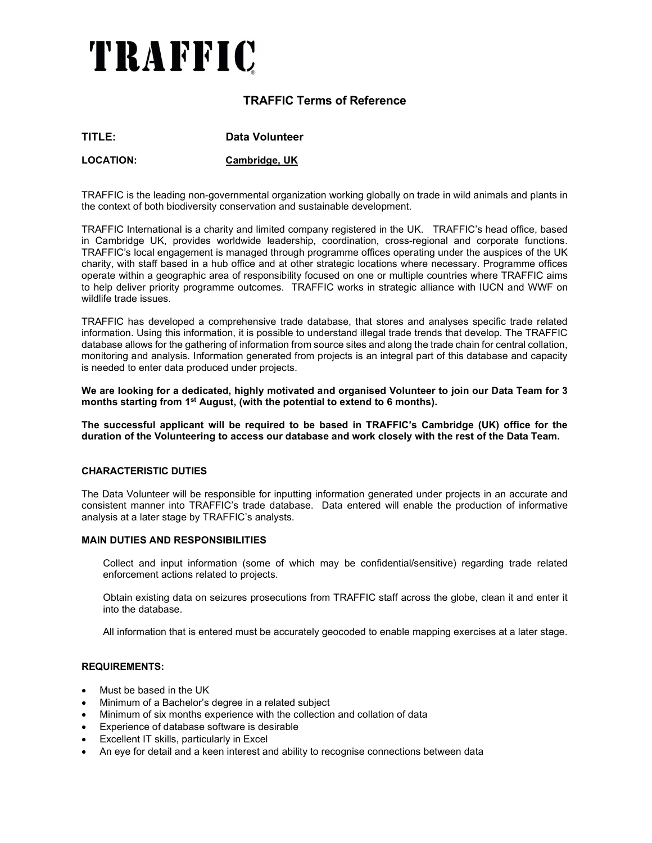# TRAFFIC

## TRAFFIC Terms of Reference

| TITLE: | Data Volunteer |
|--------|----------------|
|        |                |

LOCATION: Cambridge, UK

TRAFFIC is the leading non-governmental organization working globally on trade in wild animals and plants in the context of both biodiversity conservation and sustainable development.

TRAFFIC International is a charity and limited company registered in the UK. TRAFFIC's head office, based in Cambridge UK, provides worldwide leadership, coordination, cross-regional and corporate functions. TRAFFIC's local engagement is managed through programme offices operating under the auspices of the UK charity, with staff based in a hub office and at other strategic locations where necessary. Programme offices operate within a geographic area of responsibility focused on one or multiple countries where TRAFFIC aims to help deliver priority programme outcomes. TRAFFIC works in strategic alliance with IUCN and WWF on wildlife trade issues.

TRAFFIC has developed a comprehensive trade database, that stores and analyses specific trade related information. Using this information, it is possible to understand illegal trade trends that develop. The TRAFFIC database allows for the gathering of information from source sites and along the trade chain for central collation, monitoring and analysis. Information generated from projects is an integral part of this database and capacity is needed to enter data produced under projects.

We are looking for a dedicated, highly motivated and organised Volunteer to join our Data Team for 3 months starting from  $1<sup>st</sup>$  August, (with the potential to extend to 6 months).

The successful applicant will be required to be based in TRAFFIC's Cambridge (UK) office for the duration of the Volunteering to access our database and work closely with the rest of the Data Team.

#### CHARACTERISTIC DUTIES

The Data Volunteer will be responsible for inputting information generated under projects in an accurate and consistent manner into TRAFFIC's trade database. Data entered will enable the production of informative analysis at a later stage by TRAFFIC's analysts.

#### MAIN DUTIES AND RESPONSIBILITIES

Collect and input information (some of which may be confidential/sensitive) regarding trade related enforcement actions related to projects.

Obtain existing data on seizures prosecutions from TRAFFIC staff across the globe, clean it and enter it into the database.

All information that is entered must be accurately geocoded to enable mapping exercises at a later stage.

#### REQUIREMENTS:

- Must be based in the UK
- Minimum of a Bachelor's degree in a related subject
- Minimum of six months experience with the collection and collation of data
- Experience of database software is desirable
- Excellent IT skills, particularly in Excel
- An eye for detail and a keen interest and ability to recognise connections between data